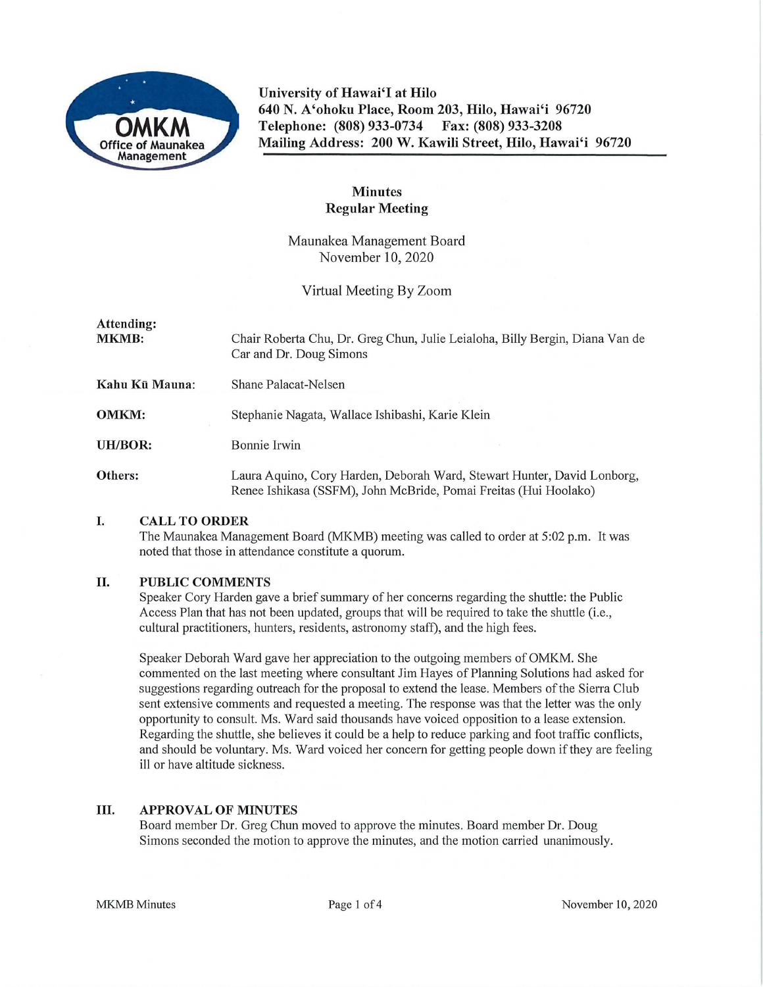

**University of Hawai'I at Hilo 640 N. A'ohoku Place, Room 203, Hilo, Hawai'i 96720 Telephone: (808) 933-0734 Fax: (808) 933-3208 Mailing Address: 200 W. Kawili Street, Hilo, Hawai'i 96720** 

# **Minutes Regular Meeting**

Maunakea Management Board November 10, 2020

Virtual Meeting By Zoom

| Attending:<br><b>MKMB:</b> | Chair Roberta Chu, Dr. Greg Chun, Julie Leialoha, Billy Bergin, Diana Van de<br>Car and Dr. Doug Simons                                     |
|----------------------------|---------------------------------------------------------------------------------------------------------------------------------------------|
| Kahu Kū Mauna:             | Shane Palacat-Nelsen                                                                                                                        |
| <b>OMKM:</b>               | Stephanie Nagata, Wallace Ishibashi, Karie Klein                                                                                            |
| UH/BOR:                    | Bonnie Irwin                                                                                                                                |
| Others:                    | Laura Aquino, Cory Harden, Deborah Ward, Stewart Hunter, David Lonborg,<br>Renee Ishikasa (SSFM), John McBride, Pomai Freitas (Hui Hoolako) |

### **I. CALL TO ORDER**

The Maunakea Management Board (MKMB) meeting was called to order at 5:02 p.m. It was noted that those in attendance constitute a quorum.

### **II. PUBLIC COMMENTS**

Speaker Cory Harden gave a brief summary of her concerns regarding the shuttle: the Public Access Plan that has not been updated, groups that will be required to take the shuttle (i.e., cultural practitioners, hunters, residents, astronomy staff), and the high fees.

Speaker Deborah Ward gave her appreciation to the outgoing members of OMKM. She commented on the last meeting where consultant Jim Hayes of Planning Solutions had asked for suggestions regarding outreach for the proposal to extend the lease. Members of the Sierra Club sent extensive comments and requested a meeting. The response was that the letter was the only opportunity to consult. Ms. Ward said thousands have voiced opposition to a lease extension. Regarding the shuttle, she believes it could be a help to reduce parking and foot traffic conflicts, and should be voluntary. Ms. Ward voiced her concern for getting people down if they are feeling ill or have altitude sickness.

### **III. APPROVAL OF MINUTES**

Board member Dr. Greg Chun moved to approve the minutes. Board member Dr. Doug Simons seconded the motion to approve the minutes, and the motion carried unanimously.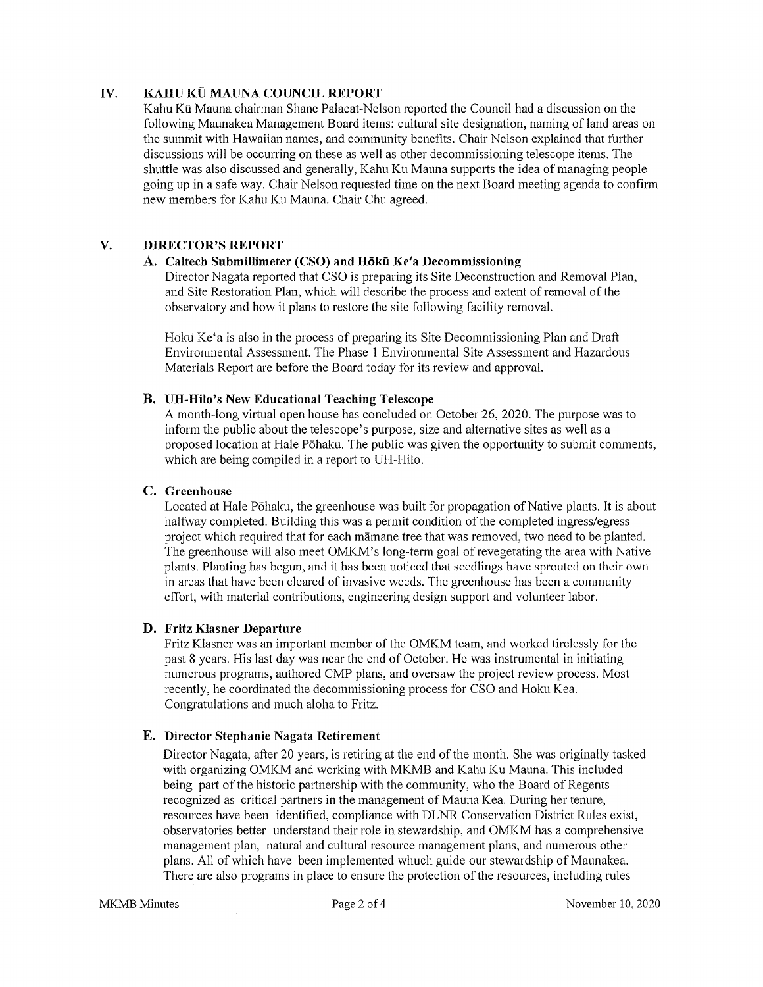# **IV. KAHU KÜ MAUNA COUNCIL REPORT**

Kahu Kū Mauna chairman Shane Palacat-Nelson reported the Council had a discussion on the following Maunakea Management Board items: cultural site designation, naming of land areas on the summit with Hawaiian names, and community benefits. Chair Nelson explained that futther discussions will be occurring on these as well as other decommissioning telescope items. The shuttle was also discussed and generally, Kahu Ku Mauna supports the idea of managing people going up in a safe way. Chair Nelson requested time on the next Board meeting agenda to confirm new members for Kahu Ku Mauna. Chair Chu agreed.

# **V. DIRECTOR'S REPORT**

# **A. Caltech Submillimeter (CSO) and Hoku Ke'a Decommissioning**

Director Nagata reported that CSO is preparing its Site Deconstruction and Removal Plan, and Site Restoration Plan, which will describe the process and extent of removal of the observatory and how it plans to restore the site following facility removal.

Hōkū Ke'a is also in the process of preparing its Site Decommissioning Plan and Draft Environmental Assessment. The Phase 1 Environmental Site Assessment and Hazardous Materials Repott are before the Board today for its review and approval.

## **B. UH-Hilo's New Educational Teaching Telescope**

A month-long vittual open house has concluded on October 26, 2020. The purpose was to inform the public about the telescope's purpose, size and alternative sites as well as a proposed location at Hale Pōhaku. The public was given the opportunity to submit comments, which are being compiled in a report to UH-Hilo.

# **C. Greenhouse**

Located at Hale Pōhaku, the greenhouse was built for propagation of Native plants. It is about halfway completed. Building this was a permit condition of the completed ingress/egress project which required that for each manane tree that was removed, two need to be planted. The greenhouse will also meet OMKM's long-term goal of revegetating the area with Native plants. Planting has begun, and it has been noticed that seedlings have sprouted on their own in areas that have been cleared of invasive weeds. The greenhouse has been a community effott, with material contributions, engineering design suppott and volunteer labor.

# **D. Fritz Klasner Departure**

Fritz Klasner was an important member of the OMKM team, and worked tirelessly for the past 8 years. His last day was near the end of October. He was instrumental in initiating numerous programs, authored CMP plans, and oversaw the project review process. Most recently, he coordinated the decommissioning process for CSO and Hoku Kea. Congratulations and much aloha to Fritz.

### **E. Director Stephanie Nagata Retirement**

Director Nagata, after 20 years, is retiring at the end of the month. She was originally tasked with organizing OMKM and working with MKMB and Kahu Ku Mauna. This included being part of the historic partnership with the community, who the Board of Regents recognized as critical partners in the management of Mauna Kea. During her tenure, resources have been identified, compliance with DLNR Conservation District Rules exist, observatories better understand their role in stewardship, and OMKM has a comprehensive management plan, natural and cultural resource management plans, and numerous other plans. All of which have been implemented whuch guide our stewardship ofMaunakea. There are also programs in place to ensure the protection of the resources, including rules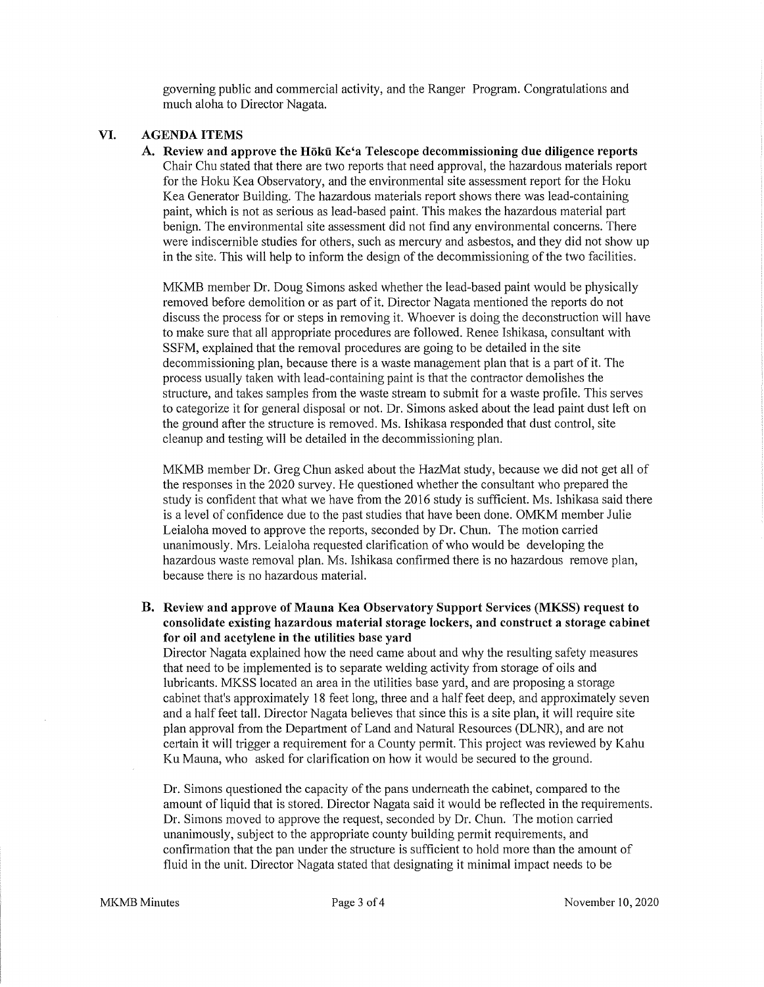governing public and commercial activity, and the Ranger Program. Congratulations and much aloha to Director Nagata.

#### **VI. AGENDA ITEMS**

A. Review and approve the Hōkū Ke'a Telescope decommissioning due diligence reports Chair Chu stated that there are two reports that need approval, the hazardous materials report for the Hoku Kea Observatory, and the environmental site assessment report for the Hoku Kea Generator Building. The hazardous materials report shows there was lead-containing paint, which is not as serious as lead-based paint. This makes the hazardous material part benign. The environmental site assessment did not find any environmental concerns. There were indiscernible studies for others, such as mercury and asbestos, and they did not show up in the site. This will help to inform the design of the decommissioning of the two facilities.

MK.MB member Dr. Doug Simons asked whether the lead-based paint would be physically removed before demolition or as part of it. Director Nagata mentioned the reports do not discuss the process for or steps in removing it. Whoever is doing the deconstruction will have to make sure that all appropriate procedures are followed. Renee Ishikasa, consultant with SSFM, explained that the removal procedures are going to be detailed in the site decommissioning plan, because there is a waste management plan that is a part of it. The process usually taken with lead-containing paint is that the contractor demolishes the structure, and takes samples from the waste stream to submit for a waste profile. This serves to categorize it for general disposal or not. Dr. Simons asked about the lead paint dust left on the ground after the structure is removed. Ms. Ishikasa responded that dust control, site cleanup and testing will be detailed in the decommissioning plan.

MKMB member Dr. Greg Chun asked about the HazMat study, because we did not get all of the responses in the 2020 survey. He questioned whether the consultant who prepared the study is confident that what we have from the 2016 study is sufficient. Ms. Ishikasa said there is a level of confidence due to the past studies that have been done. OMKM member Julie Leialoha moved to approve the reports, seconded by Dr. Chun. The motion carried unanimously. Mrs. Leialoha requested clarification of who would be developing the hazardous waste removal plan. Ms. Ishikasa confirmed there is no hazardous remove plan, because there is no hazardous material.

**B. Review and approve of Mauna Kea Observatory Support Services (MKSS) request to consolidate existing hazardous material storage lockers, and construct a storage cabinet for oil and acetylene in the utilities base yard** 

Director Nagata explained how the need came about and why the resulting safety measures that need to be implemented is to separate welding activity from storage of oils and lubricants. MKSS located an area in the utilities base yard, and are proposing a storage cabinet that's approximately 18 feet long, three and a half feet deep, and approximately seven and a halffeet tall. Director Nagata believes that since this is a site plan, it will require site plan approval from the Department of Land and Natural Resources (DLNR), and are not certain it will trigger a requirement for a County permit. This project was reviewed by Kahu Ku Mauna, who asked for clarification on how it would be secured to the ground.

Dr. Simons questioned the capacity of the pans underneath the cabinet, compared to the amount of liquid that is stored. Director Nagata said it would be reflected in the requirements. Dr. Simons moved to approve the request, seconded by Dr. Chun. The motion carried unanimously, subject to the appropriate county building permit requirements, and confirmation that the pan under the structure is sufficient to hold more than the amount of fluid in the unit. Director Nagata stated that designating it minimal impact needs to be